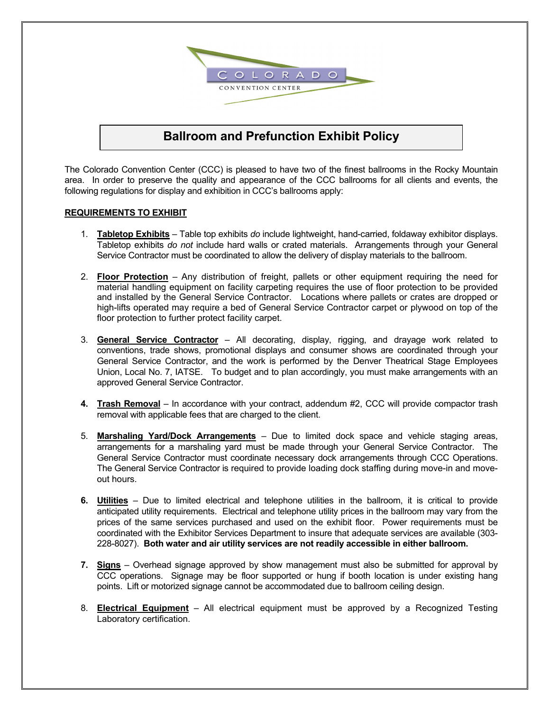

# **Ballroom and Prefunction Exhibit Policy**

The Colorado Convention Center (CCC) is pleased to have two of the finest ballrooms in the Rocky Mountain area. In order to preserve the quality and appearance of the CCC ballrooms for all clients and events, the following regulations for display and exhibition in CCC's ballrooms apply:

#### **REQUIREMENTS TO EXHIBIT**

- 1. **Tabletop Exhibits**  Table top exhibits *do* include lightweight, hand-carried, foldaway exhibitor displays. Tabletop exhibits *do not* include hard walls or crated materials. Arrangements through your General Service Contractor must be coordinated to allow the delivery of display materials to the ballroom.
- 2. **Floor Protection**  Any distribution of freight, pallets or other equipment requiring the need for material handling equipment on facility carpeting requires the use of floor protection to be provided and installed by the General Service Contractor. Locations where pallets or crates are dropped or high-lifts operated may require a bed of General Service Contractor carpet or plywood on top of the floor protection to further protect facility carpet.
- 3. **General Service Contractor**  All decorating, display, rigging, and drayage work related to conventions, trade shows, promotional displays and consumer shows are coordinated through your General Service Contractor, and the work is performed by the Denver Theatrical Stage Employees Union, Local No. 7, IATSE. To budget and to plan accordingly, you must make arrangements with an approved General Service Contractor.
- **4. Trash Removal**  In accordance with your contract, addendum #2, CCC will provide compactor trash removal with applicable fees that are charged to the client.
- 5. **Marshaling Yard/Dock Arrangements** Due to limited dock space and vehicle staging areas, arrangements for a marshaling yard must be made through your General Service Contractor. The General Service Contractor must coordinate necessary dock arrangements through CCC Operations. The General Service Contractor is required to provide loading dock staffing during move-in and moveout hours.
- **6. Utilities** Due to limited electrical and telephone utilities in the ballroom, it is critical to provide anticipated utility requirements. Electrical and telephone utility prices in the ballroom may vary from the prices of the same services purchased and used on the exhibit floor. Power requirements must be coordinated with the Exhibitor Services Department to insure that adequate services are available (303- 228-8027). **Both water and air utility services are not readily accessible in either ballroom.**
- **7. Signs**  Overhead signage approved by show management must also be submitted for approval by CCC operations. Signage may be floor supported or hung if booth location is under existing hang points. Lift or motorized signage cannot be accommodated due to ballroom ceiling design.
- 8. **Electrical Equipment**  All electrical equipment must be approved by a Recognized Testing Laboratory certification.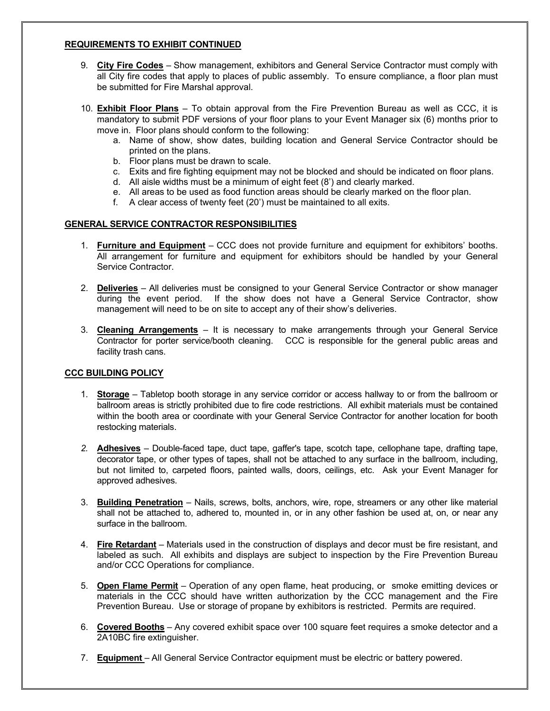#### **REQUIREMENTS TO EXHIBIT CONTINUED**

- 9. **City Fire Codes**  Show management, exhibitors and General Service Contractor must comply with all City fire codes that apply to places of public assembly. To ensure compliance, a floor plan must be submitted for Fire Marshal approval.
- 10. **Exhibit Floor Plans** To obtain approval from the Fire Prevention Bureau as well as CCC, it is mandatory to submit PDF versions of your floor plans to your Event Manager six (6) months prior to move in. Floor plans should conform to the following:
	- a. Name of show, show dates, building location and General Service Contractor should be printed on the plans.
	- b. Floor plans must be drawn to scale.
	- c. Exits and fire fighting equipment may not be blocked and should be indicated on floor plans.
	- d. All aisle widths must be a minimum of eight feet (8') and clearly marked.
	- e. All areas to be used as food function areas should be clearly marked on the floor plan.
	- f. A clear access of twenty feet (20') must be maintained to all exits.

#### **GENERAL SERVICE CONTRACTOR RESPONSIBILITIES**

- 1. **Furniture and Equipment**  CCC does not provide furniture and equipment for exhibitors' booths. All arrangement for furniture and equipment for exhibitors should be handled by your General Service Contractor.
- 2. **Deliveries** All deliveries must be consigned to your General Service Contractor or show manager during the event period. If the show does not have a General Service Contractor, show management will need to be on site to accept any of their show's deliveries.
- 3. **Cleaning Arrangements**  It is necessary to make arrangements through your General Service Contractor for porter service/booth cleaning. CCC is responsible for the general public areas and facility trash cans.

#### **CCC BUILDING POLICY**

- 1. **Storage**  Tabletop booth storage in any service corridor or access hallway to or from the ballroom or ballroom areas is strictly prohibited due to fire code restrictions. All exhibit materials must be contained within the booth area or coordinate with your General Service Contractor for another location for booth restocking materials.
- *2.* **Adhesives**  Double-faced tape, duct tape, gaffer's tape, scotch tape, cellophane tape, drafting tape, decorator tape, or other types of tapes, shall not be attached to any surface in the ballroom, including, but not limited to, carpeted floors, painted walls, doors, ceilings, etc. Ask your Event Manager for approved adhesives.
- 3. **Building Penetration**  Nails, screws, bolts, anchors, wire, rope, streamers or any other like material shall not be attached to, adhered to, mounted in, or in any other fashion be used at, on, or near any surface in the ballroom.
- 4. **Fire Retardant**  Materials used in the construction of displays and decor must be fire resistant, and labeled as such. All exhibits and displays are subject to inspection by the Fire Prevention Bureau and/or CCC Operations for compliance.
- 5. **Open Flame Permit**  Operation of any open flame, heat producing, or smoke emitting devices or materials in the CCC should have written authorization by the CCC management and the Fire Prevention Bureau. Use or storage of propane by exhibitors is restricted. Permits are required.
- 6. **Covered Booths**  Any covered exhibit space over 100 square feet requires a smoke detector and a 2A10BC fire extinguisher.
- 7. **Equipment**  All General Service Contractor equipment must be electric or battery powered.